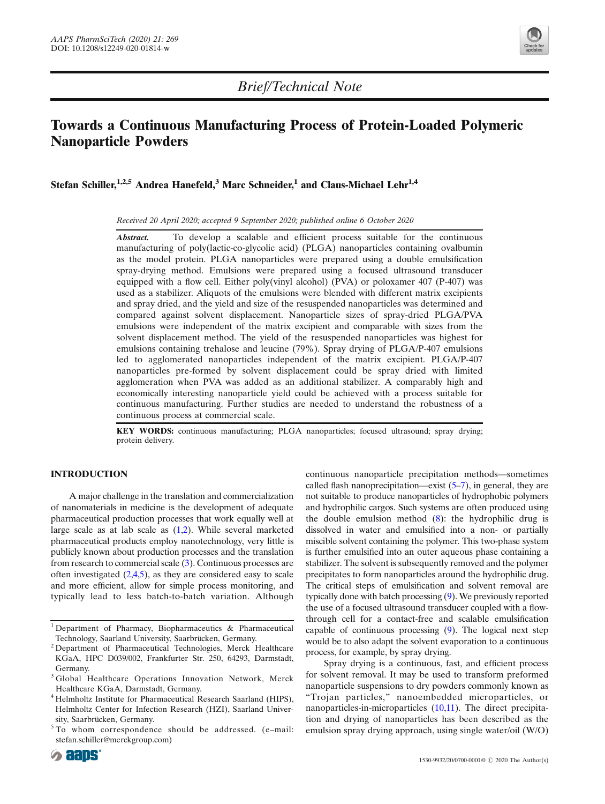

# Towards a Continuous Manufacturing Process of Protein-Loaded Polymeric Nanoparticle Powders

Stefan Schiller,<sup>1,2,5</sup> Andrea Hanefeld,<sup>3</sup> Marc Schneider,<sup>1</sup> and Claus-Michael Lehr<sup>1,4</sup>

Received 20 April 2020; accepted 9 September 2020; published online 6 October 2020

Abstract. To develop a scalable and efficient process suitable for the continuous manufacturing of poly(lactic-co-glycolic acid) (PLGA) nanoparticles containing ovalbumin as the model protein. PLGA nanoparticles were prepared using a double emulsification spray-drying method. Emulsions were prepared using a focused ultrasound transducer equipped with a flow cell. Either poly(vinyl alcohol) (PVA) or poloxamer 407 (P-407) was used as a stabilizer. Aliquots of the emulsions were blended with different matrix excipients and spray dried, and the yield and size of the resuspended nanoparticles was determined and compared against solvent displacement. Nanoparticle sizes of spray-dried PLGA/PVA emulsions were independent of the matrix excipient and comparable with sizes from the solvent displacement method. The yield of the resuspended nanoparticles was highest for emulsions containing trehalose and leucine (79%). Spray drying of PLGA/P-407 emulsions led to agglomerated nanoparticles independent of the matrix excipient. PLGA/P-407 nanoparticles pre-formed by solvent displacement could be spray dried with limited agglomeration when PVA was added as an additional stabilizer. A comparably high and economically interesting nanoparticle yield could be achieved with a process suitable for continuous manufacturing. Further studies are needed to understand the robustness of a continuous process at commercial scale.

KEY WORDS: continuous manufacturing; PLGA nanoparticles; focused ultrasound; spray drying; protein delivery.

# INTRODUCTION

A major challenge in the translation and commercialization of nanomaterials in medicine is the development of adequate pharmaceutical production processes that work equally well at large scale as at lab scale as ([1,2\)](#page-3-0). While several marketed pharmaceutical products employ nanotechnology, very little is publicly known about production processes and the translation from research to commercial scale [\(3\)](#page-3-0). Continuous processes are often investigated  $(2,4,5)$  $(2,4,5)$  $(2,4,5)$  $(2,4,5)$ , as they are considered easy to scale and more efficient, allow for simple process monitoring, and typically lead to less batch-to-batch variation. Although continuous nanoparticle precipitation methods—sometimes called flash nanoprecipitation—exist  $(5-7)$  $(5-7)$  $(5-7)$  $(5-7)$ , in general, they are not suitable to produce nanoparticles of hydrophobic polymers and hydrophilic cargos. Such systems are often produced using the double emulsion method  $(8)$ : the hydrophilic drug is dissolved in water and emulsified into a non- or partially miscible solvent containing the polymer. This two-phase system is further emulsified into an outer aqueous phase containing a stabilizer. The solvent is subsequently removed and the polymer precipitates to form nanoparticles around the hydrophilic drug. The critical steps of emulsification and solvent removal are typically done with batch processing [\(9\)](#page-4-0). We previously reported the use of a focused ultrasound transducer coupled with a flowthrough cell for a contact-free and scalable emulsification capable of continuous processing [\(9\)](#page-4-0). The logical next step would be to also adapt the solvent evaporation to a continuous process, for example, by spray drying.

Spray drying is a continuous, fast, and efficient process for solvent removal. It may be used to transform preformed nanoparticle suspensions to dry powders commonly known as "Trojan particles," nanoembedded microparticles, or nanoparticles-in-microparticles [\(10,11](#page-4-0)). The direct precipitation and drying of nanoparticles has been described as the emulsion spray drying approach, using single water/oil (W/O)

<sup>1</sup> Department of Pharmacy, Biopharmaceutics & Pharmaceutical Technology, Saarland University, Saarbrücken, Germany.

<sup>&</sup>lt;sup>2</sup> Department of Pharmaceutical Technologies, Merck Healthcare KGaA, HPC D039/002, Frankfurter Str. 250, 64293, Darmstadt, Germany.

<sup>&</sup>lt;sup>3</sup> Global Healthcare Operations Innovation Network, Merck Healthcare KGaA, Darmstadt, Germany.

<sup>4</sup> Helmholtz Institute for Pharmaceutical Research Saarland (HIPS), Helmholtz Center for Infection Research (HZI), Saarland University, Saarbrücken, Germany.

<sup>&</sup>lt;sup>5</sup> To whom correspondence should be addressed. (e-mail: stefan.schiller@merckgroup.com)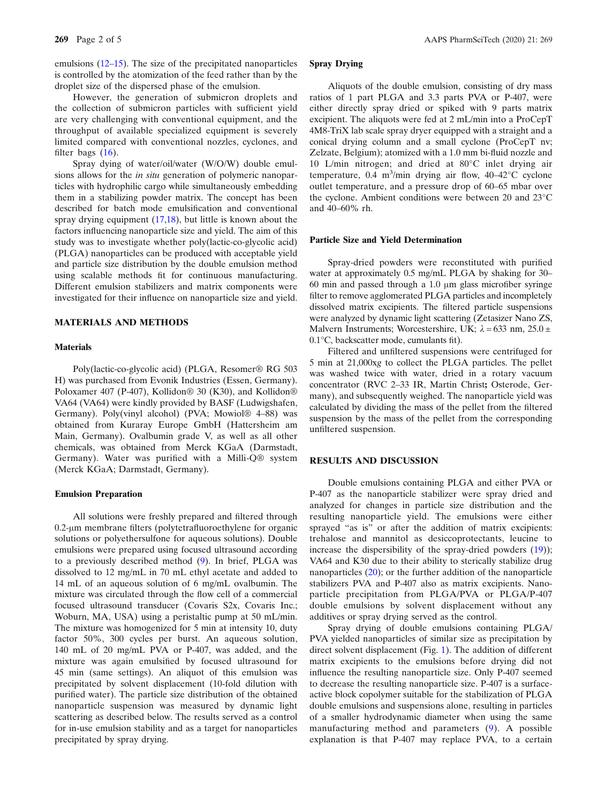However, the generation of submicron droplets and the collection of submicron particles with sufficient yield are very challenging with conventional equipment, and the throughput of available specialized equipment is severely limited compared with conventional nozzles, cyclones, and filter bags  $(16)$  $(16)$  $(16)$ .

Spray dying of water/oil/water (W/O/W) double emulsions allows for the in situ generation of polymeric nanoparticles with hydrophilic cargo while simultaneously embedding them in a stabilizing powder matrix. The concept has been described for batch mode emulsification and conventional spray drying equipment ([17,18](#page-4-0)), but little is known about the factors influencing nanoparticle size and yield. The aim of this study was to investigate whether poly(lactic-co-glycolic acid) (PLGA) nanoparticles can be produced with acceptable yield and particle size distribution by the double emulsion method using scalable methods fit for continuous manufacturing. Different emulsion stabilizers and matrix components were investigated for their influence on nanoparticle size and yield.

## MATERIALS AND METHODS

#### **Materials**

Poly(lactic-co-glycolic acid) (PLGA, Resomer® RG 503 H) was purchased from Evonik Industries (Essen, Germany). Poloxamer 407 (P-407), Kollidon® 30 (K30), and Kollidon® VA64 (VA64) were kindly provided by BASF (Ludwigshafen, Germany). Poly(vinyl alcohol) (PVA; Mowiol® 4–88) was obtained from Kuraray Europe GmbH (Hattersheim am Main, Germany). Ovalbumin grade V, as well as all other chemicals, was obtained from Merck KGaA (Darmstadt, Germany). Water was purified with a Milli-Q® system (Merck KGaA; Darmstadt, Germany).

#### Emulsion Preparation

All solutions were freshly prepared and filtered through 0.2-μm membrane filters (polytetrafluoroethylene for organic solutions or polyethersulfone for aqueous solutions). Double emulsions were prepared using focused ultrasound according to a previously described method [\(9\)](#page-4-0). In brief, PLGA was dissolved to 12 mg/mL in 70 mL ethyl acetate and added to 14 mL of an aqueous solution of 6 mg/mL ovalbumin. The mixture was circulated through the flow cell of a commercial focused ultrasound transducer (Covaris S2x, Covaris Inc.; Woburn, MA, USA) using a peristaltic pump at 50 mL/min. The mixture was homogenized for 5 min at intensity 10, duty factor 50%, 300 cycles per burst. An aqueous solution, 140 mL of 20 mg/mL PVA or P‐407, was added, and the mixture was again emulsified by focused ultrasound for 45 min (same settings). An aliquot of this emulsion was precipitated by solvent displacement (10‐fold dilution with purified water). The particle size distribution of the obtained nanoparticle suspension was measured by dynamic light scattering as described below. The results served as a control for in‐use emulsion stability and as a target for nanoparticles precipitated by spray drying.

# Spray Drying

Aliquots of the double emulsion, consisting of dry mass ratios of 1 part PLGA and 3.3 parts PVA or P-407, were either directly spray dried or spiked with 9 parts matrix excipient. The aliquots were fed at 2 mL/min into a ProCepT 4M8-TriX lab scale spray dryer equipped with a straight and a conical drying column and a small cyclone (ProCepT nv; Zelzate, Belgium); atomized with a 1.0 mm bi-fluid nozzle and 10 L/min nitrogen; and dried at 80°C inlet drying air temperature,  $0.4 \text{ m}^3/\text{min}$  drying air flow,  $40-42^{\circ}\text{C}$  cyclone outlet temperature, and a pressure drop of 60–65 mbar over the cyclone. Ambient conditions were between 20 and 23°C and 40–60% rh.

## Particle Size and Yield Determination

Spray-dried powders were reconstituted with purified water at approximately 0.5 mg/mL PLGA by shaking for 30– 60 min and passed through a 1.0 μm glass microfiber syringe filter to remove agglomerated PLGA particles and incompletely dissolved matrix excipients. The filtered particle suspensions were analyzed by dynamic light scattering (Zetasizer Nano ZS, Malvern Instruments; Worcestershire, UK;  $\lambda = 633$  nm,  $25.0 \pm$ 0.1°C, backscatter mode, cumulants fit).

Filtered and unfiltered suspensions were centrifuged for 5 min at 21,000xg to collect the PLGA particles. The pellet was washed twice with water, dried in a rotary vacuum concentrator (RVC 2–33 IR, Martin Christ; Osterode, Germany), and subsequently weighed. The nanoparticle yield was calculated by dividing the mass of the pellet from the filtered suspension by the mass of the pellet from the corresponding unfiltered suspension.

### RESULTS AND DISCUSSION

Double emulsions containing PLGA and either PVA or P-407 as the nanoparticle stabilizer were spray dried and analyzed for changes in particle size distribution and the resulting nanoparticle yield. The emulsions were either sprayed "as is" or after the addition of matrix excipients: trehalose and mannitol as desiccoprotectants, leucine to increase the dispersibility of the spray-dried powders ([19\)](#page-4-0)); VA64 and K30 due to their ability to sterically stabilize drug nanoparticles ([20\)](#page-4-0); or the further addition of the nanoparticle stabilizers PVA and P-407 also as matrix excipients. Nanoparticle precipitation from PLGA/PVA or PLGA/P-407 double emulsions by solvent displacement without any additives or spray drying served as the control.

Spray drying of double emulsions containing PLGA/ PVA yielded nanoparticles of similar size as precipitation by direct solvent displacement (Fig. [1\)](#page-2-0). The addition of different matrix excipients to the emulsions before drying did not influence the resulting nanoparticle size. Only P-407 seemed to decrease the resulting nanoparticle size. P-407 is a surfaceactive block copolymer suitable for the stabilization of PLGA double emulsions and suspensions alone, resulting in particles of a smaller hydrodynamic diameter when using the same manufacturing method and parameters [\(9](#page-4-0)). A possible explanation is that P-407 may replace PVA, to a certain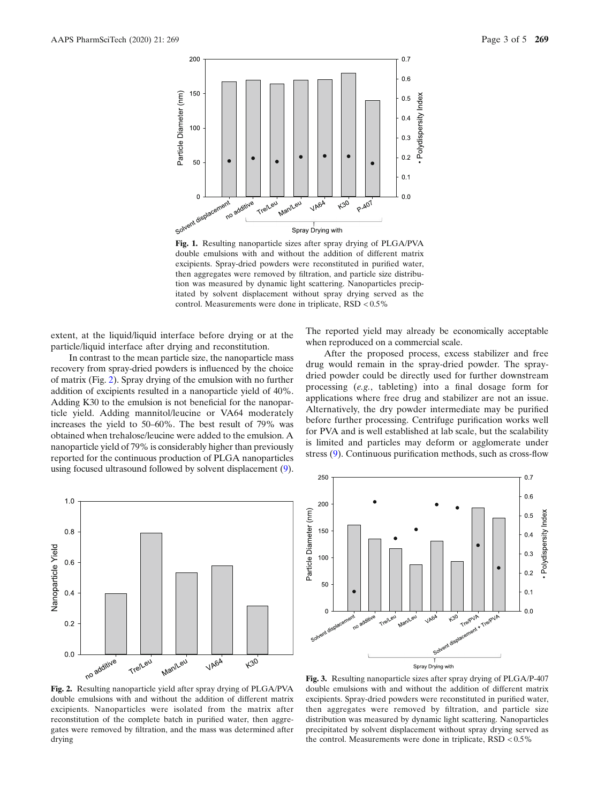<span id="page-2-0"></span>

Fig. 1. Resulting nanoparticle sizes after spray drying of PLGA/PVA double emulsions with and without the addition of different matrix excipients. Spray-dried powders were reconstituted in purified water, then aggregates were removed by filtration, and particle size distribution was measured by dynamic light scattering. Nanoparticles precipitated by solvent displacement without spray drying served as the control. Measurements were done in triplicate, RSD < 0.5%

extent, at the liquid/liquid interface before drying or at the particle/liquid interface after drying and reconstitution.

In contrast to the mean particle size, the nanoparticle mass recovery from spray-dried powders is influenced by the choice of matrix (Fig. 2). Spray drying of the emulsion with no further addition of excipients resulted in a nanoparticle yield of 40%. Adding K30 to the emulsion is not beneficial for the nanoparticle yield. Adding mannitol/leucine or VA64 moderately increases the yield to 50–60%. The best result of 79% was obtained when trehalose/leucine were added to the emulsion. A nanoparticle yield of 79% is considerably higher than previously reported for the continuous production of PLGA nanoparticles using focused ultrasound followed by solvent displacement [\(9\)](#page-4-0).



The reported yield may already be economically acceptable when reproduced on a commercial scale.

After the proposed process, excess stabilizer and free drug would remain in the spray-dried powder. The spraydried powder could be directly used for further downstream processing (e.g., tableting) into a final dosage form for applications where free drug and stabilizer are not an issue. Alternatively, the dry powder intermediate may be purified before further processing. Centrifuge purification works well for PVA and is well established at lab scale, but the scalability is limited and particles may deform or agglomerate under stress [\(9\)](#page-4-0). Continuous purification methods, such as cross-flow



Fig. 2. Resulting nanoparticle yield after spray drying of PLGA/PVA double emulsions with and without the addition of different matrix excipients. Nanoparticles were isolated from the matrix after reconstitution of the complete batch in purified water, then aggregates were removed by filtration, and the mass was determined after drying

Fig. 3. Resulting nanoparticle sizes after spray drying of PLGA/P-407 double emulsions with and without the addition of different matrix excipients. Spray-dried powders were reconstituted in purified water, then aggregates were removed by filtration, and particle size distribution was measured by dynamic light scattering. Nanoparticles precipitated by solvent displacement without spray drying served as the control. Measurements were done in triplicate,  $RSD < 0.5\%$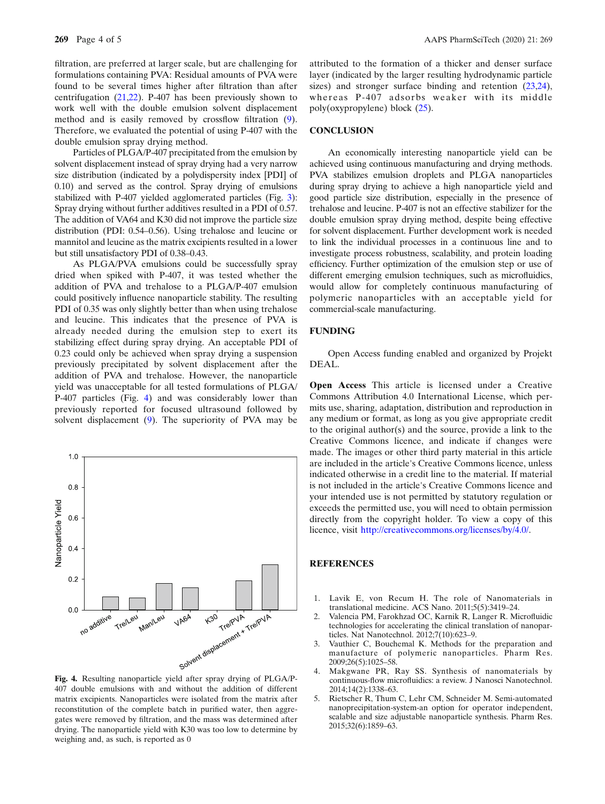<span id="page-3-0"></span>filtration, are preferred at larger scale, but are challenging for formulations containing PVA: Residual amounts of PVA were found to be several times higher after filtration than after centrifugation ([21,22\)](#page-4-0). P-407 has been previously shown to work well with the double emulsion solvent displacement method and is easily removed by crossflow filtration ([9](#page-4-0)). Therefore, we evaluated the potential of using P-407 with the double emulsion spray drying method.

Particles of PLGA/P-407 precipitated from the emulsion by solvent displacement instead of spray drying had a very narrow size distribution (indicated by a polydispersity index [PDI] of 0.10) and served as the control. Spray drying of emulsions stabilized with P-407 yielded agglomerated particles (Fig. [3](#page-2-0)): Spray drying without further additives resulted in a PDI of 0.57. The addition of VA64 and K30 did not improve the particle size distribution (PDI: 0.54–0.56). Using trehalose and leucine or mannitol and leucine as the matrix excipients resulted in a lower but still unsatisfactory PDI of 0.38–0.43.

As PLGA/PVA emulsions could be successfully spray dried when spiked with P-407, it was tested whether the addition of PVA and trehalose to a PLGA/P-407 emulsion could positively influence nanoparticle stability. The resulting PDI of 0.35 was only slightly better than when using trehalose and leucine. This indicates that the presence of PVA is already needed during the emulsion step to exert its stabilizing effect during spray drying. An acceptable PDI of 0.23 could only be achieved when spray drying a suspension previously precipitated by solvent displacement after the addition of PVA and trehalose. However, the nanoparticle yield was unacceptable for all tested formulations of PLGA/ P-407 particles (Fig. 4) and was considerably lower than previously reported for focused ultrasound followed by solvent displacement [\(9](#page-4-0)). The superiority of PVA may be



407 double emulsions with and without the addition of different matrix excipients. Nanoparticles were isolated from the matrix after reconstitution of the complete batch in purified water, then aggregates were removed by filtration, and the mass was determined after drying. The nanoparticle yield with K30 was too low to determine by weighing and, as such, is reported as 0

attributed to the formation of a thicker and denser surface layer (indicated by the larger resulting hydrodynamic particle sizes) and stronger surface binding and retention [\(23,24](#page-4-0)), whereas P-407 adsorbs weaker with its middle poly(oxypropylene) block [\(25](#page-4-0)).

#### **CONCLUSION**

An economically interesting nanoparticle yield can be achieved using continuous manufacturing and drying methods. PVA stabilizes emulsion droplets and PLGA nanoparticles during spray drying to achieve a high nanoparticle yield and good particle size distribution, especially in the presence of trehalose and leucine. P-407 is not an effective stabilizer for the double emulsion spray drying method, despite being effective for solvent displacement. Further development work is needed to link the individual processes in a continuous line and to investigate process robustness, scalability, and protein loading efficiency. Further optimization of the emulsion step or use of different emerging emulsion techniques, such as microfluidics, would allow for completely continuous manufacturing of polymeric nanoparticles with an acceptable yield for commercial-scale manufacturing.

## FUNDING

Open Access funding enabled and organized by Projekt DEAL.

Commons Attribution 4.0 International License, which permits use, sharing, adaptation, distribution and reproduction in any medium or format, as long as you give appropriate credit to the original author(s) and the source, provide a link to the Creative Commons licence, and indicate if changes were made. The images or other third party material in this article are included in the article's Creative Commons licence, unless indicated otherwise in a credit line to the material. If material is not included in the article's Creative Commons licence and your intended use is not permitted by statutory regulation or exceeds the permitted use, you will need to obtain permission directly from the copyright holder. To view a copy of this licence, visit [http://creativecommons.org/licenses/by/4.0/.](http://creativecommons.org/licenses/by/4.0/) Open Access This article is licensed under a Creative

## **REFERENCES**

- 1. Lavik E, von Recum H. The role of Nanomaterials in translational medicine. ACS Nano. 2011;5(5):3419–24.
- 2. Valencia PM, Farokhzad OC, Karnik R, Langer R. Microfluidic technologies for accelerating the clinical translation of nanoparticles. Nat Nanotechnol. 2012;7(10):623–9.
- 3. Vauthier C, Bouchemal K. Methods for the preparation and manufacture of polymeric nanoparticles. Pharm Res. 2009;26(5):1025–58.
- 4. Makgwane PR, Ray SS. Synthesis of nanomaterials by continuous-flow microfluidics: a review. J Nanosci Nanotechnol. 2014;14(2):1338–63.
- 5. Rietscher R, Thum C, Lehr CM, Schneider M. Semi-automated nanoprecipitation-system-an option for operator independent, scalable and size adjustable nanoparticle synthesis. Pharm Res. 2015;32(6):1859–63.